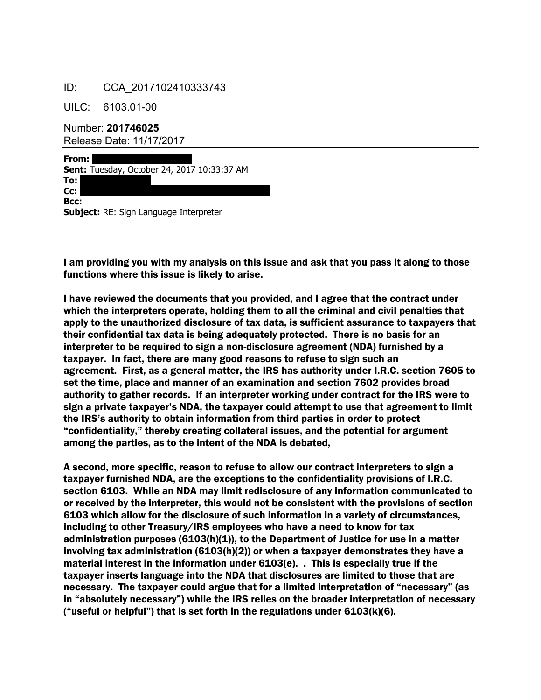## ID: CCA\_2017102410333743

UILC: 6103.01-00

Number: **201746025** Release Date: 11/17/2017

**From: Sent:** Tuesday, October 24, 2017 10:33:37 AM **To: Cc: Bcc: Subject:** RE: Sign Language Interpreter

I am providing you with my analysis on this issue and ask that you pass it along to those functions where this issue is likely to arise.

I have reviewed the documents that you provided, and I agree that the contract under which the interpreters operate, holding them to all the criminal and civil penalties that apply to the unauthorized disclosure of tax data, is sufficient assurance to taxpayers that their confidential tax data is being adequately protected. There is no basis for an interpreter to be required to sign a non-disclosure agreement (NDA) furnished by a taxpayer. In fact, there are many good reasons to refuse to sign such an agreement. First, as a general matter, the IRS has authority under I.R.C. section 7605 to set the time, place and manner of an examination and section 7602 provides broad authority to gather records. If an interpreter working under contract for the IRS were to sign a private taxpayer's NDA, the taxpayer could attempt to use that agreement to limit the IRS's authority to obtain information from third parties in order to protect "confidentiality," thereby creating collateral issues, and the potential for argument among the parties, as to the intent of the NDA is debated,

A second, more specific, reason to refuse to allow our contract interpreters to sign a taxpayer furnished NDA, are the exceptions to the confidentiality provisions of I.R.C. section 6103. While an NDA may limit redisclosure of any information communicated to or received by the interpreter, this would not be consistent with the provisions of section 6103 which allow for the disclosure of such information in a variety of circumstances, including to other Treasury/IRS employees who have a need to know for tax administration purposes (6103(h)(1)), to the Department of Justice for use in a matter involving tax administration (6103(h)(2)) or when a taxpayer demonstrates they have a material interest in the information under 6103(e). . This is especially true if the taxpayer inserts language into the NDA that disclosures are limited to those that are necessary. The taxpayer could argue that for a limited interpretation of "necessary" (as in "absolutely necessary") while the IRS relies on the broader interpretation of necessary ("useful or helpful") that is set forth in the regulations under  $6103(k)(6)$ .